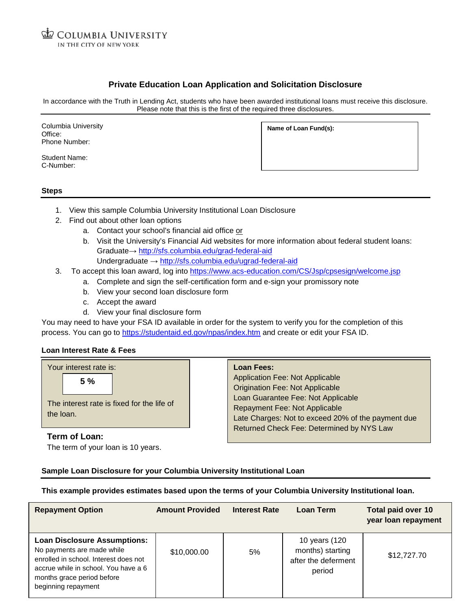# **Private Education Loan Application and Solicitation Disclosure**

In accordance with the Truth in Lending Act, students who have been awarded institutional loans must receive this disclosure. Please note that this is the first of the required three disclosures.

Columbia University Office: Phone Number:

Student Name: C-Number:

**Name of Loan Fund(s):**

#### **Steps**

- 1. View this sample Columbia University Institutional Loan Disclosure
- 2. Find out about other loan options
	- a. Contact your school's financial aid office or
	- b. Visit the University's Financial Aid websites for more information about federal student loans: Graduate→ <http://sfs.columbia.edu/grad-federal-aid> Undergraduate → <http://sfs.columbia.edu/ugrad-federal-aid>
- 3. To accept this loan award, log into<https://www.acs-education.com/CS/Jsp/cpsesign/welcome.jsp>
	- a. Complete and sign the self-certification form and e-sign your promissory note
	- b. View your second loan disclosure form
	- c. Accept the award
	- d. View your final disclosure form

You may need to have your FSA ID available in order for the system to verify you for the completion of this process. You can go to<https://studentaid.ed.gov/npas/index.htm> and create or edit your FSA ID.

### **Loan Interest Rate & Fees**

| Your interest rate is:                                        | <b>Loan Fees:</b>                                                                                                                                                                                                                                          |
|---------------------------------------------------------------|------------------------------------------------------------------------------------------------------------------------------------------------------------------------------------------------------------------------------------------------------------|
| 5%<br>The interest rate is fixed for the life of<br>the loan. | <b>Application Fee: Not Applicable</b><br><b>Origination Fee: Not Applicable</b><br>Loan Guarantee Fee: Not Applicable<br>Repayment Fee: Not Applicable<br>Late Charges: Not to exceed 20% of the payment due<br>Returned Check Fee: Determined by NYS Law |
| Term of Loan:                                                 |                                                                                                                                                                                                                                                            |

The term of your loan is 10 years.

## **Sample Loan Disclosure for your Columbia University Institutional Loan**

**This example provides estimates based upon the terms of your Columbia University Institutional loan.**

| <b>Repayment Option</b>                                                                                                                                                                                 | <b>Amount Provided</b> | <b>Interest Rate</b> | Loan Term                                                          | <b>Total paid over 10</b><br>year loan repayment |
|---------------------------------------------------------------------------------------------------------------------------------------------------------------------------------------------------------|------------------------|----------------------|--------------------------------------------------------------------|--------------------------------------------------|
| <b>Loan Disclosure Assumptions:</b><br>No payments are made while<br>enrolled in school. Interest does not<br>accrue while in school. You have a 6<br>months grace period before<br>beginning repayment | \$10,000.00            | 5%                   | 10 years (120<br>months) starting<br>after the deferment<br>period | \$12,727.70                                      |